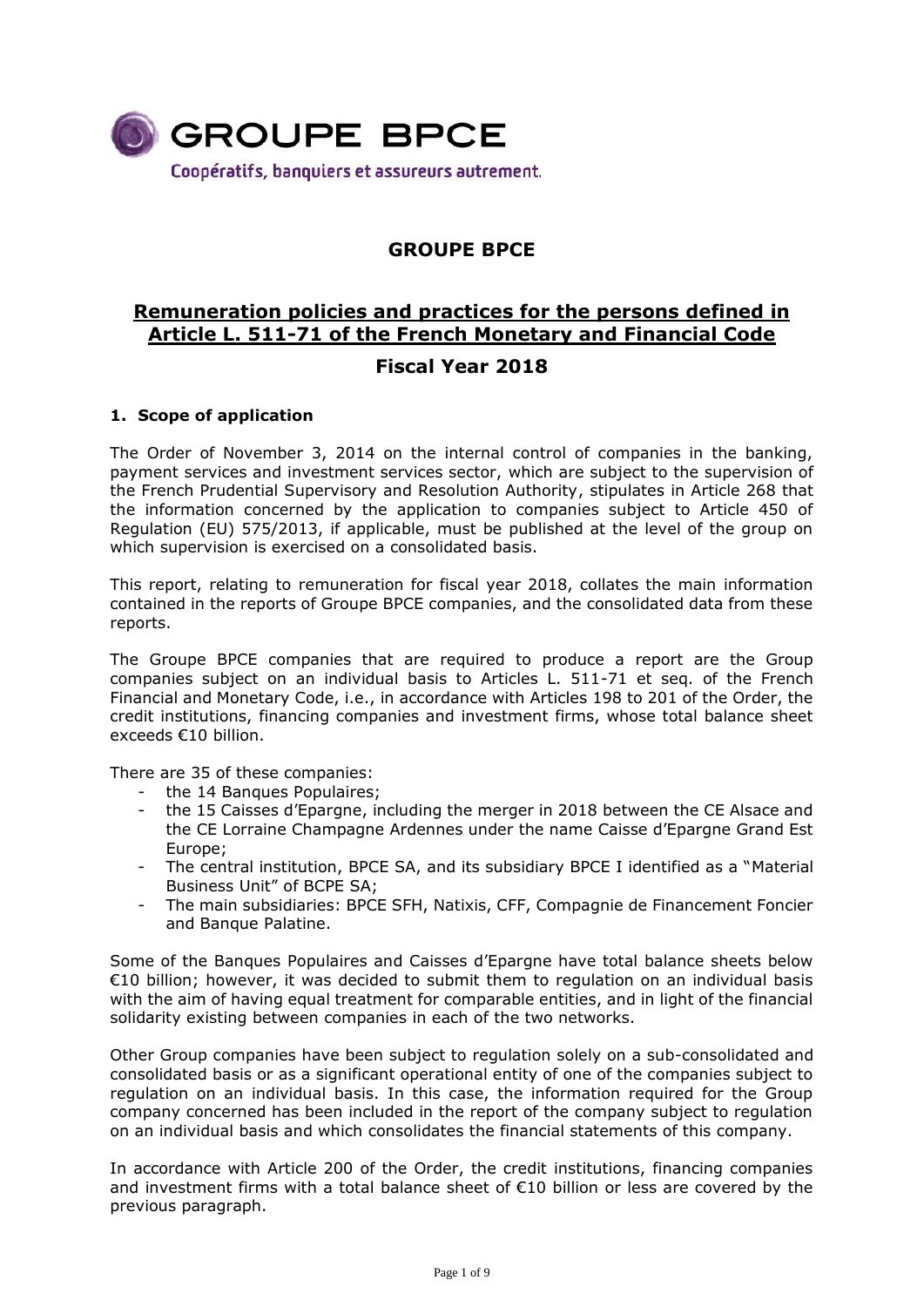

# **GROUPE BPCE**

# **Remuneration policies and practices for the persons defined in Article L. 511-71 of the French Monetary and Financial Code**

# **Fiscal Year 2018**

# **1. Scope of application**

The Order of November 3, 2014 on the internal control of companies in the banking, payment services and investment services sector, which are subject to the supervision of the French Prudential Supervisory and Resolution Authority, stipulates in Article 268 that the information concerned by the application to companies subject to Article 450 of Regulation (EU) 575/2013, if applicable, must be published at the level of the group on which supervision is exercised on a consolidated basis.

This report, relating to remuneration for fiscal year 2018, collates the main information contained in the reports of Groupe BPCE companies, and the consolidated data from these reports.

The Groupe BPCE companies that are required to produce a report are the Group companies subject on an individual basis to Articles L. 511-71 et seq. of the French Financial and Monetary Code, i.e., in accordance with Articles 198 to 201 of the Order, the credit institutions, financing companies and investment firms, whose total balance sheet exceeds €10 billion.

There are 35 of these companies:

- the 14 Banques Populaires;
- the 15 Caisses d'Epargne, including the merger in 2018 between the CE Alsace and the CE Lorraine Champagne Ardennes under the name Caisse d'Epargne Grand Est Europe;
- The central institution, BPCE SA, and its subsidiary BPCE I identified as a "Material Business Unit" of BCPE SA;
- The main subsidiaries: BPCE SFH, Natixis, CFF, Compagnie de Financement Foncier and Banque Palatine.

Some of the Banques Populaires and Caisses d'Epargne have total balance sheets below €10 billion; however, it was decided to submit them to regulation on an individual basis with the aim of having equal treatment for comparable entities, and in light of the financial solidarity existing between companies in each of the two networks.

Other Group companies have been subject to regulation solely on a sub-consolidated and consolidated basis or as a significant operational entity of one of the companies subject to regulation on an individual basis. In this case, the information required for the Group company concerned has been included in the report of the company subject to regulation on an individual basis and which consolidates the financial statements of this company.

In accordance with Article 200 of the Order, the credit institutions, financing companies and investment firms with a total balance sheet of €10 billion or less are covered by the previous paragraph.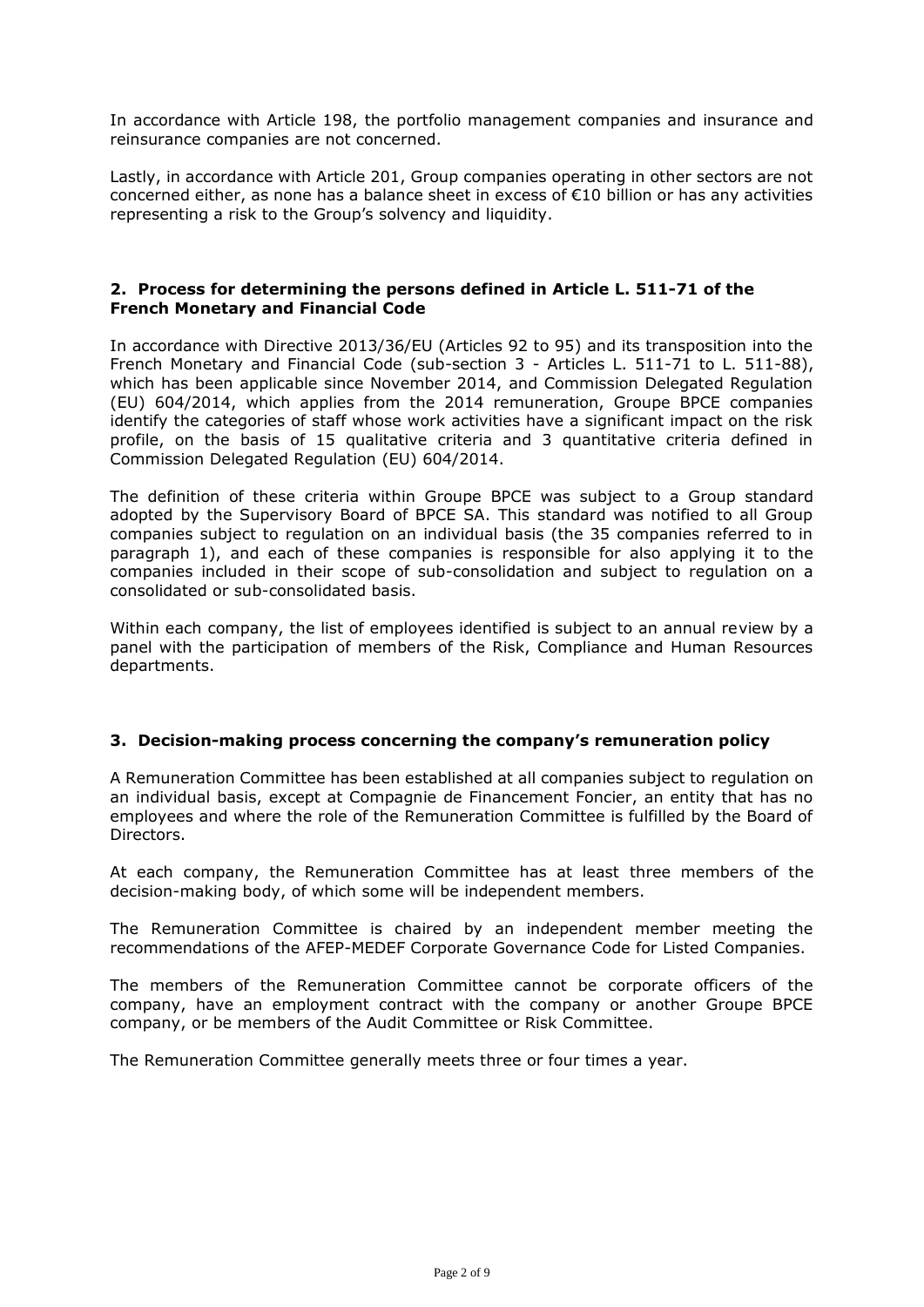In accordance with Article 198, the portfolio management companies and insurance and reinsurance companies are not concerned.

Lastly, in accordance with Article 201, Group companies operating in other sectors are not concerned either, as none has a balance sheet in excess of €10 billion or has any activities representing a risk to the Group's solvency and liquidity.

# **2. Process for determining the persons defined in Article L. 511-71 of the French Monetary and Financial Code**

In accordance with Directive 2013/36/EU (Articles 92 to 95) and its transposition into the French Monetary and Financial Code (sub-section 3 - Articles L. 511-71 to L. 511-88), which has been applicable since November 2014, and Commission Delegated Regulation (EU) 604/2014, which applies from the 2014 remuneration, Groupe BPCE companies identify the categories of staff whose work activities have a significant impact on the risk profile, on the basis of 15 qualitative criteria and 3 quantitative criteria defined in Commission Delegated Regulation (EU) 604/2014.

The definition of these criteria within Groupe BPCE was subject to a Group standard adopted by the Supervisory Board of BPCE SA. This standard was notified to all Group companies subject to regulation on an individual basis (the 35 companies referred to in paragraph 1), and each of these companies is responsible for also applying it to the companies included in their scope of sub-consolidation and subject to regulation on a consolidated or sub-consolidated basis.

Within each company, the list of employees identified is subject to an annual review by a panel with the participation of members of the Risk, Compliance and Human Resources departments.

### **3. Decision-making process concerning the company's remuneration policy**

A Remuneration Committee has been established at all companies subject to regulation on an individual basis, except at Compagnie de Financement Foncier, an entity that has no employees and where the role of the Remuneration Committee is fulfilled by the Board of Directors.

At each company, the Remuneration Committee has at least three members of the decision-making body, of which some will be independent members.

The Remuneration Committee is chaired by an independent member meeting the recommendations of the AFEP-MEDEF Corporate Governance Code for Listed Companies.

The members of the Remuneration Committee cannot be corporate officers of the company, have an employment contract with the company or another Groupe BPCE company, or be members of the Audit Committee or Risk Committee.

The Remuneration Committee generally meets three or four times a year.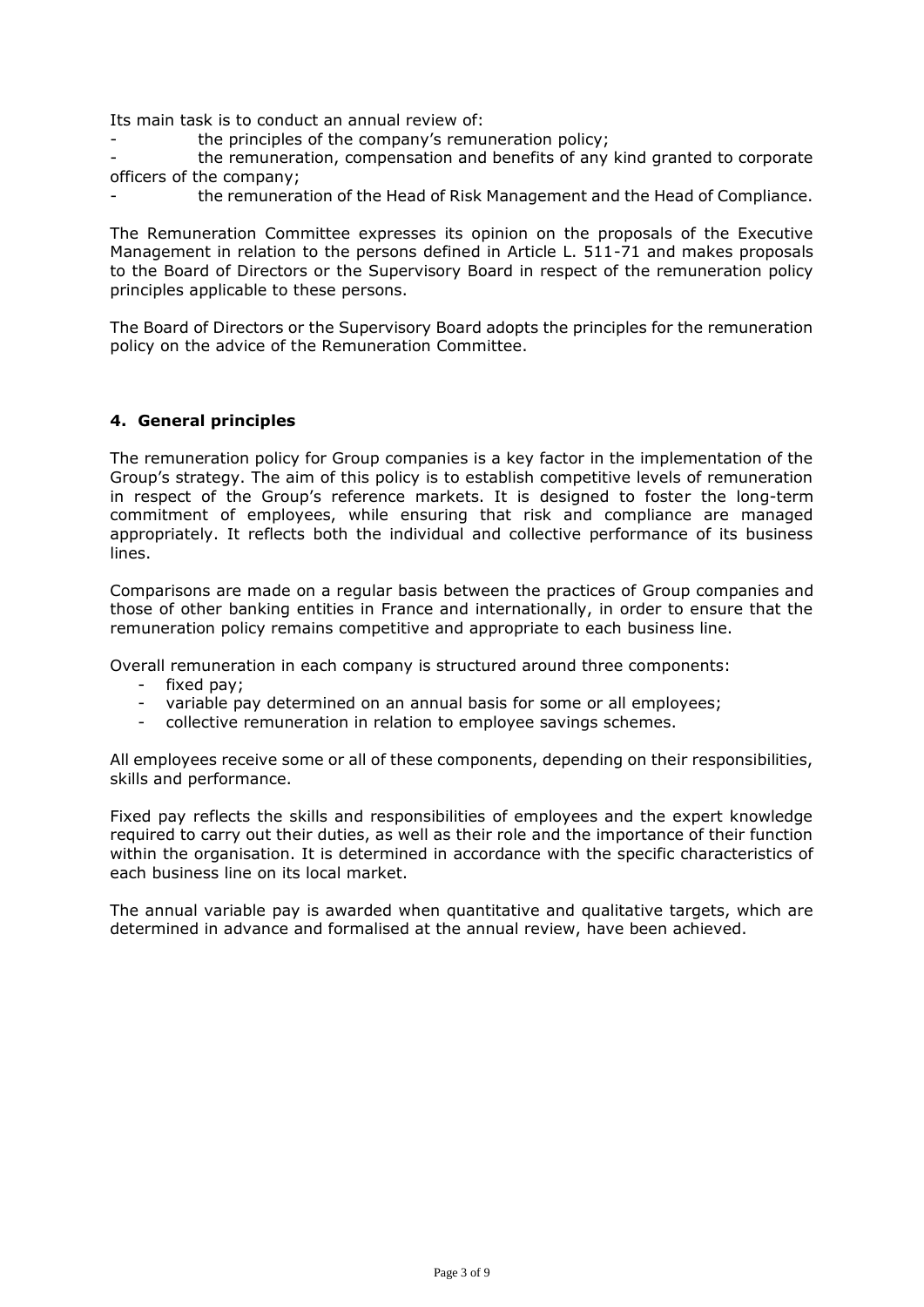Its main task is to conduct an annual review of:

the principles of the company's remuneration policy;

the remuneration, compensation and benefits of any kind granted to corporate officers of the company;

the remuneration of the Head of Risk Management and the Head of Compliance.

The Remuneration Committee expresses its opinion on the proposals of the Executive Management in relation to the persons defined in Article L. 511-71 and makes proposals to the Board of Directors or the Supervisory Board in respect of the remuneration policy principles applicable to these persons.

The Board of Directors or the Supervisory Board adopts the principles for the remuneration policy on the advice of the Remuneration Committee.

# **4. General principles**

The remuneration policy for Group companies is a key factor in the implementation of the Group's strategy. The aim of this policy is to establish competitive levels of remuneration in respect of the Group's reference markets. It is designed to foster the long-term commitment of employees, while ensuring that risk and compliance are managed appropriately. It reflects both the individual and collective performance of its business lines.

Comparisons are made on a regular basis between the practices of Group companies and those of other banking entities in France and internationally, in order to ensure that the remuneration policy remains competitive and appropriate to each business line.

Overall remuneration in each company is structured around three components:

- fixed pay;
- variable pay determined on an annual basis for some or all employees;
- collective remuneration in relation to employee savings schemes.

All employees receive some or all of these components, depending on their responsibilities, skills and performance.

Fixed pay reflects the skills and responsibilities of employees and the expert knowledge required to carry out their duties, as well as their role and the importance of their function within the organisation. It is determined in accordance with the specific characteristics of each business line on its local market.

The annual variable pay is awarded when quantitative and qualitative targets, which are determined in advance and formalised at the annual review, have been achieved.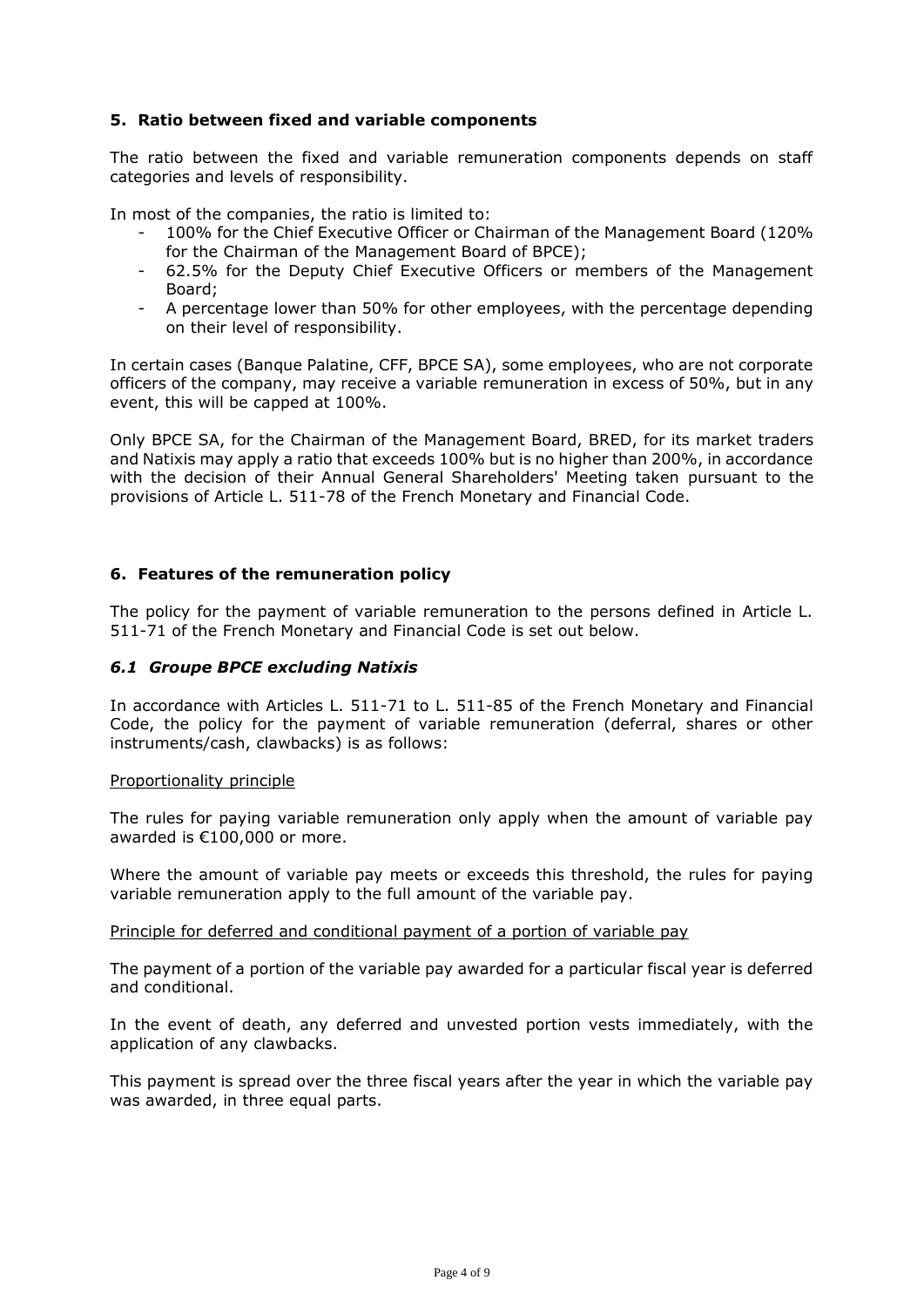# **5. Ratio between fixed and variable components**

The ratio between the fixed and variable remuneration components depends on staff categories and levels of responsibility.

In most of the companies, the ratio is limited to:

- 100% for the Chief Executive Officer or Chairman of the Management Board (120% for the Chairman of the Management Board of BPCE);
- 62.5% for the Deputy Chief Executive Officers or members of the Management Board;
- A percentage lower than 50% for other employees, with the percentage depending on their level of responsibility.

In certain cases (Banque Palatine, CFF, BPCE SA), some employees, who are not corporate officers of the company, may receive a variable remuneration in excess of 50%, but in any event, this will be capped at 100%.

Only BPCE SA, for the Chairman of the Management Board, BRED, for its market traders and Natixis may apply a ratio that exceeds 100% but is no higher than 200%, in accordance with the decision of their Annual General Shareholders' Meeting taken pursuant to the provisions of Article L. 511-78 of the French Monetary and Financial Code.

### **6. Features of the remuneration policy**

The policy for the payment of variable remuneration to the persons defined in Article L. 511-71 of the French Monetary and Financial Code is set out below.

### *6.1 Groupe BPCE excluding Natixis*

In accordance with Articles L. 511-71 to L. 511-85 of the French Monetary and Financial Code, the policy for the payment of variable remuneration (deferral, shares or other instruments/cash, clawbacks) is as follows:

#### Proportionality principle

The rules for paying variable remuneration only apply when the amount of variable pay awarded is €100,000 or more.

Where the amount of variable pay meets or exceeds this threshold, the rules for paying variable remuneration apply to the full amount of the variable pay.

Principle for deferred and conditional payment of a portion of variable pay

The payment of a portion of the variable pay awarded for a particular fiscal year is deferred and conditional.

In the event of death, any deferred and unvested portion vests immediately, with the application of any clawbacks.

This payment is spread over the three fiscal years after the year in which the variable pay was awarded, in three equal parts.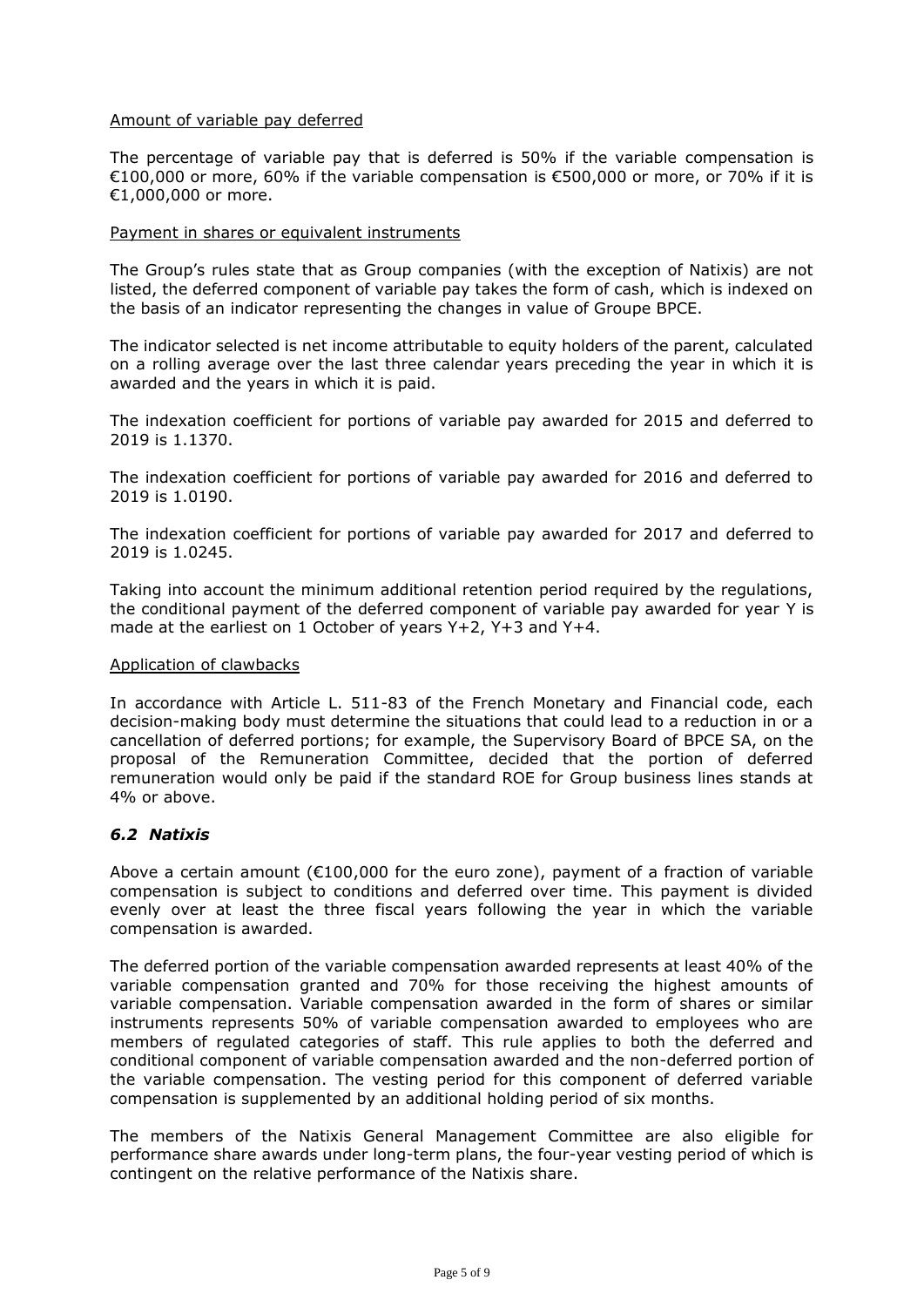### Amount of variable pay deferred

The percentage of variable pay that is deferred is 50% if the variable compensation is €100,000 or more, 60% if the variable compensation is €500,000 or more, or 70% if it is €1,000,000 or more.

#### Payment in shares or equivalent instruments

The Group's rules state that as Group companies (with the exception of Natixis) are not listed, the deferred component of variable pay takes the form of cash, which is indexed on the basis of an indicator representing the changes in value of Groupe BPCE.

The indicator selected is net income attributable to equity holders of the parent, calculated on a rolling average over the last three calendar years preceding the year in which it is awarded and the years in which it is paid.

The indexation coefficient for portions of variable pay awarded for 2015 and deferred to 2019 is 1.1370.

The indexation coefficient for portions of variable pay awarded for 2016 and deferred to 2019 is 1.0190.

The indexation coefficient for portions of variable pay awarded for 2017 and deferred to 2019 is 1.0245.

Taking into account the minimum additional retention period required by the regulations, the conditional payment of the deferred component of variable pay awarded for year Y is made at the earliest on 1 October of years Y+2, Y+3 and Y+4.

#### Application of clawbacks

In accordance with Article L. 511-83 of the French Monetary and Financial code, each decision-making body must determine the situations that could lead to a reduction in or a cancellation of deferred portions; for example, the Supervisory Board of BPCE SA, on the proposal of the Remuneration Committee, decided that the portion of deferred remuneration would only be paid if the standard ROE for Group business lines stands at 4% or above.

# *6.2 Natixis*

Above a certain amount ( $\epsilon$ 100,000 for the euro zone), payment of a fraction of variable compensation is subject to conditions and deferred over time. This payment is divided evenly over at least the three fiscal years following the year in which the variable compensation is awarded.

The deferred portion of the variable compensation awarded represents at least 40% of the variable compensation granted and 70% for those receiving the highest amounts of variable compensation. Variable compensation awarded in the form of shares or similar instruments represents 50% of variable compensation awarded to employees who are members of regulated categories of staff. This rule applies to both the deferred and conditional component of variable compensation awarded and the non-deferred portion of the variable compensation. The vesting period for this component of deferred variable compensation is supplemented by an additional holding period of six months.

The members of the Natixis General Management Committee are also eligible for performance share awards under long-term plans, the four-year vesting period of which is contingent on the relative performance of the Natixis share.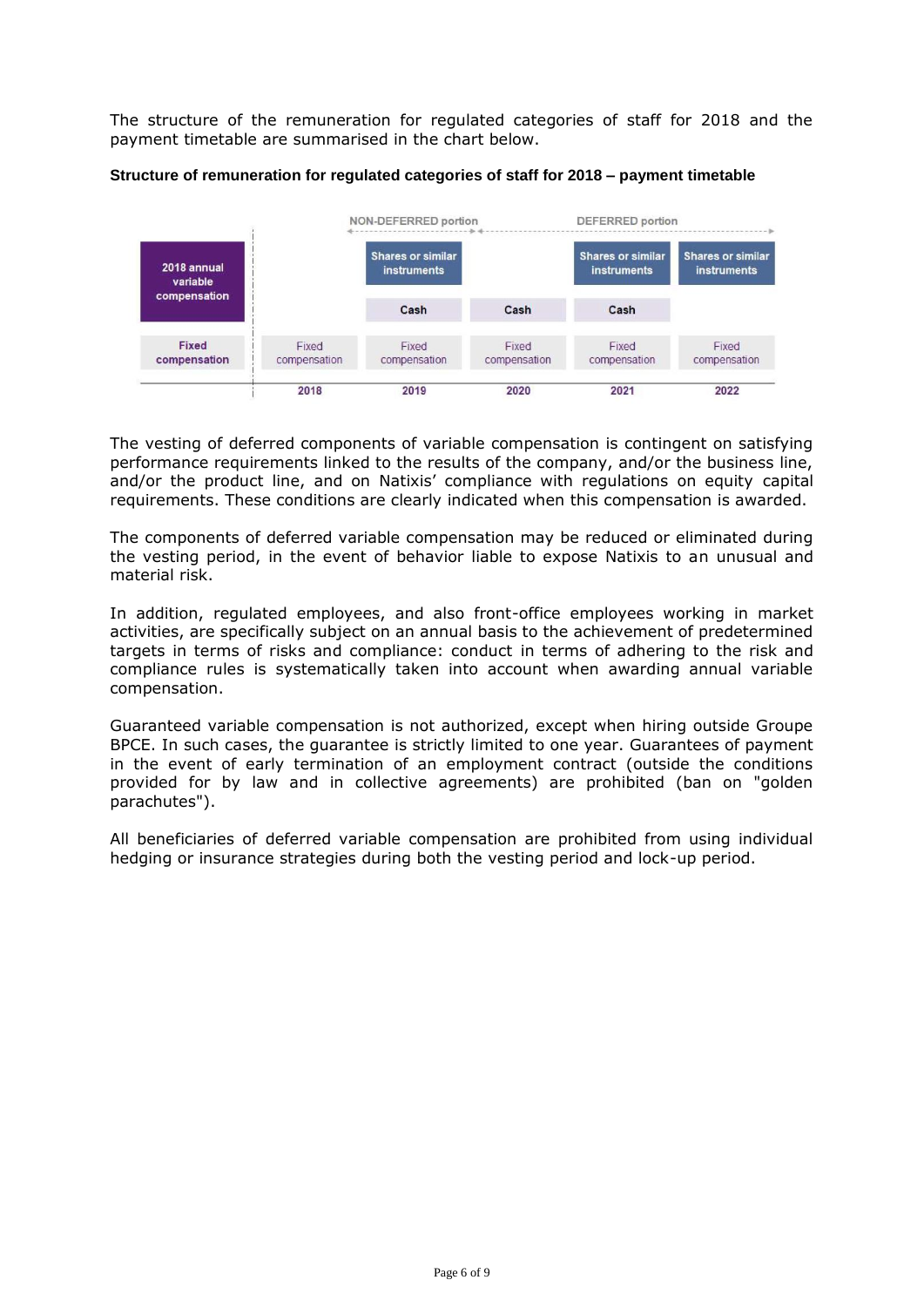The structure of the remuneration for regulated categories of staff for 2018 and the payment timetable are summarised in the chart below.



#### **Structure of remuneration for regulated categories of staff for 2018 – payment timetable**

The vesting of deferred components of variable compensation is contingent on satisfying performance requirements linked to the results of the company, and/or the business line, and/or the product line, and on Natixis' compliance with regulations on equity capital requirements. These conditions are clearly indicated when this compensation is awarded.

The components of deferred variable compensation may be reduced or eliminated during the vesting period, in the event of behavior liable to expose Natixis to an unusual and material risk.

In addition, regulated employees, and also front-office employees working in market activities, are specifically subject on an annual basis to the achievement of predetermined targets in terms of risks and compliance: conduct in terms of adhering to the risk and compliance rules is systematically taken into account when awarding annual variable compensation.

Guaranteed variable compensation is not authorized, except when hiring outside Groupe BPCE. In such cases, the guarantee is strictly limited to one year. Guarantees of payment in the event of early termination of an employment contract (outside the conditions provided for by law and in collective agreements) are prohibited (ban on "golden parachutes").

All beneficiaries of deferred variable compensation are prohibited from using individual hedging or insurance strategies during both the vesting period and lock-up period.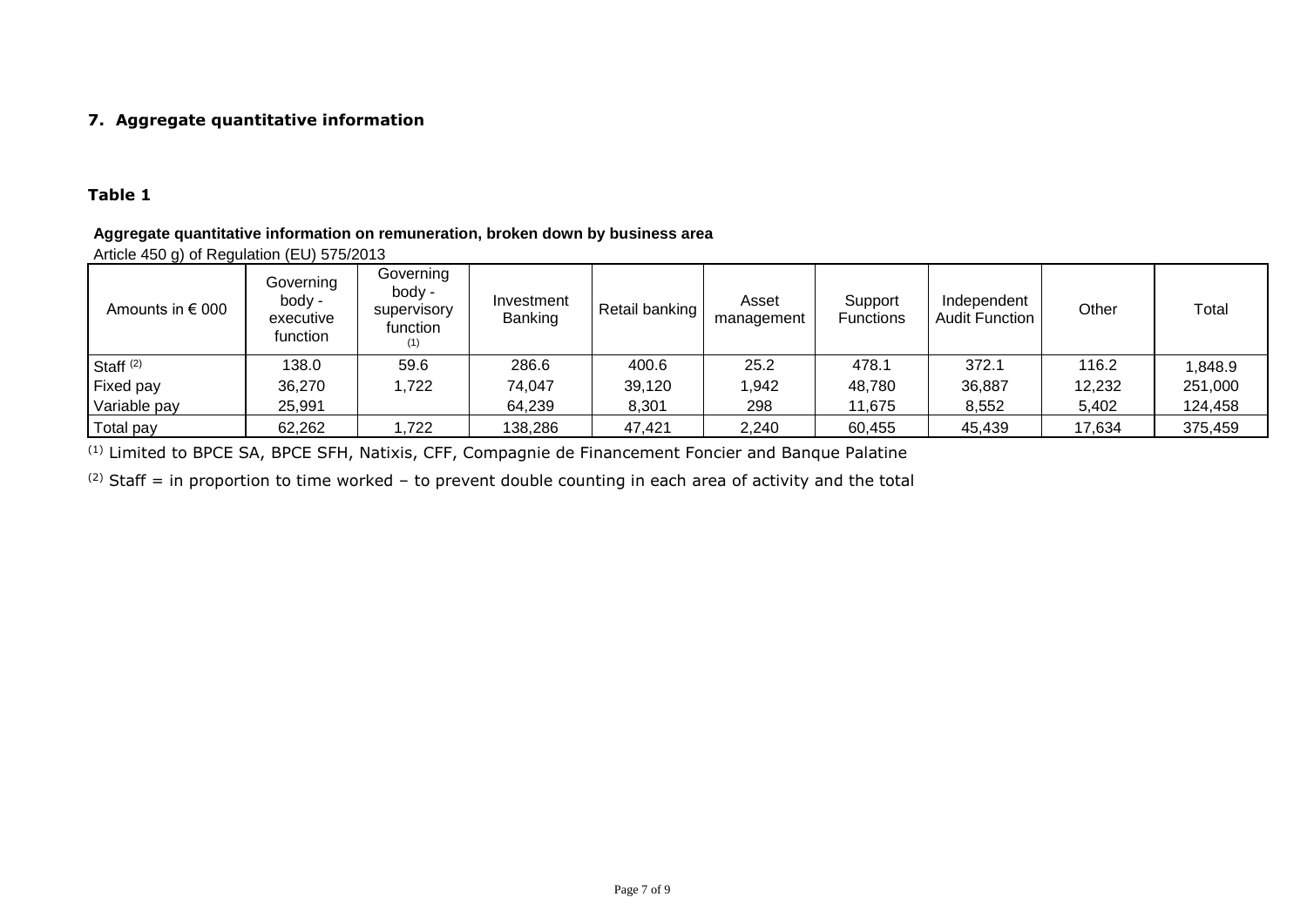# **7. Aggregate quantitative information**

# **Table 1**

## **Aggregate quantitative information on remuneration, broken down by business area**

Article 450 g) of Regulation (EU) 575/2013

| Amounts in $\epsilon$ 000 | Governing<br>body -<br>executive<br>function | Governing<br>body -<br>supervisory<br>function<br>(1) | Investment<br>Banking | Retail banking | Asset<br>management | Support<br><b>Functions</b> | Independent<br><b>Audit Function</b> | Other  | Total   |
|---------------------------|----------------------------------------------|-------------------------------------------------------|-----------------------|----------------|---------------------|-----------------------------|--------------------------------------|--------|---------|
| Staff $(2)$               | 138.0                                        | 59.6                                                  | 286.6                 | 400.6          | 25.2                | 478.1                       | 372.1                                | 116.2  | 1,848.9 |
| Fixed pay                 | 36,270                                       | .722                                                  | 74,047                | 39,120         | 1,942               | 48,780                      | 36,887                               | 12,232 | 251,000 |
| Variable pay              | 25,991                                       |                                                       | 64,239                | 8,301          | 298                 | 11,675                      | 8,552                                | 5,402  | 124,458 |
| Total pay                 | 62,262                                       | ,722                                                  | 138,286               | 47,421         | 2,240               | 60,455                      | 45,439                               | 17,634 | 375,459 |

(1) Limited to BPCE SA, BPCE SFH, Natixis, CFF, Compagnie de Financement Foncier and Banque Palatine

(2) Staff = in proportion to time worked – to prevent double counting in each area of activity and the total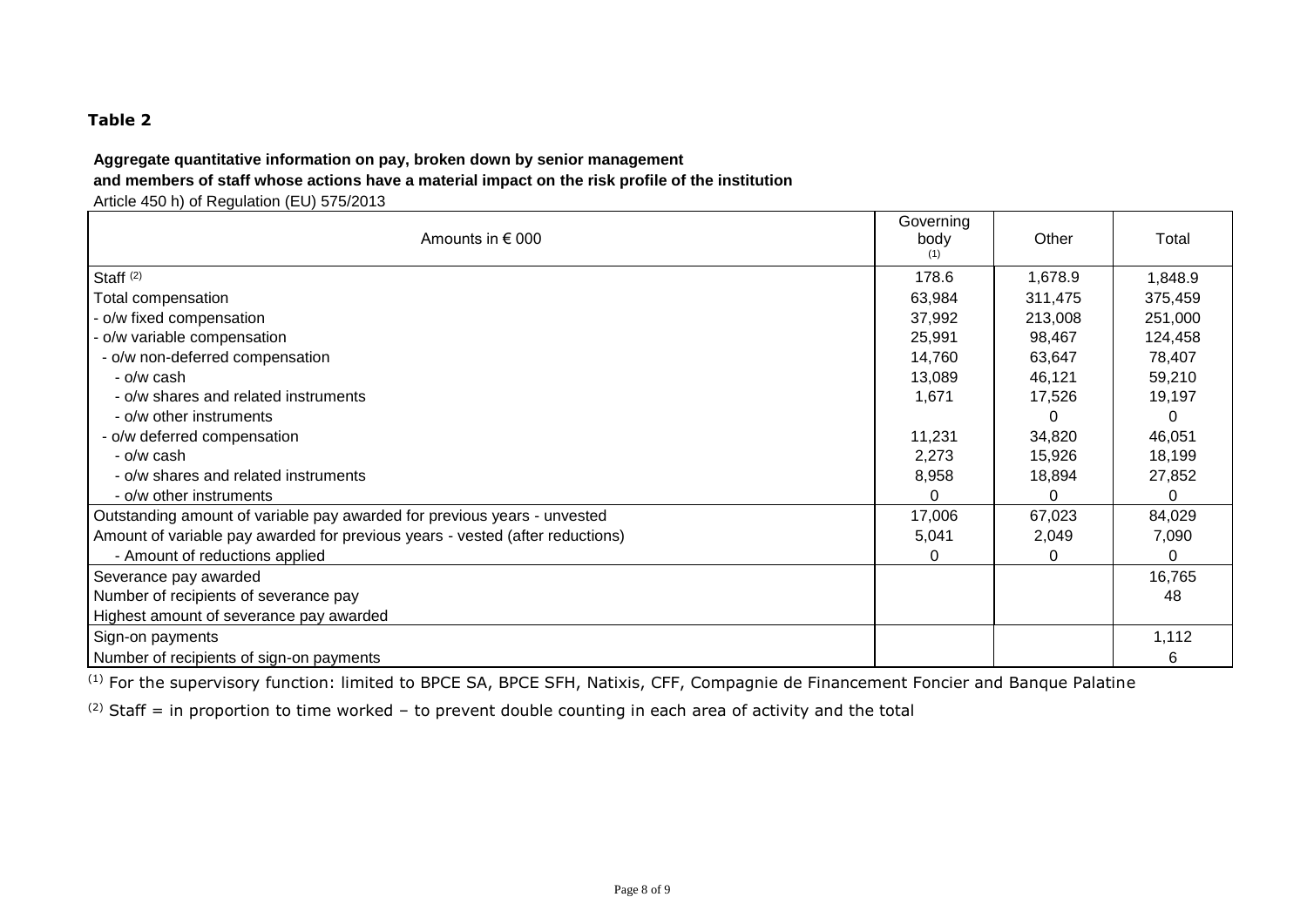# **Table 2**

### **Aggregate quantitative information on pay, broken down by senior management and members of staff whose actions have a material impact on the risk profile of the institution**

Article 450 h) of Regulation (EU) 575/2013

| Amounts in $\epsilon$ 000                                                     | Governing<br>body | Other   | Total   |
|-------------------------------------------------------------------------------|-------------------|---------|---------|
| Staff $(2)$                                                                   | 178.6             | 1,678.9 | 1,848.9 |
| Total compensation                                                            | 63,984            | 311,475 | 375,459 |
| - o/w fixed compensation                                                      | 37,992            | 213,008 | 251,000 |
| - o/w variable compensation                                                   | 25,991            | 98,467  | 124,458 |
| - o/w non-deferred compensation                                               | 14,760            | 63,647  | 78,407  |
| - o/w cash                                                                    | 13,089            | 46,121  | 59,210  |
| - o/w shares and related instruments                                          | 1,671             | 17,526  | 19,197  |
| - o/w other instruments                                                       |                   |         | 0       |
| - o/w deferred compensation                                                   | 11,231            | 34,820  | 46,051  |
| - o/w cash                                                                    | 2,273             | 15,926  | 18,199  |
| - o/w shares and related instruments                                          | 8,958             | 18,894  | 27,852  |
| - o/w other instruments                                                       | ი                 | 0       | 0       |
| Outstanding amount of variable pay awarded for previous years - unvested      | 17,006            | 67,023  | 84,029  |
| Amount of variable pay awarded for previous years - vested (after reductions) | 5,041             | 2,049   | 7,090   |
| - Amount of reductions applied                                                | ი                 | 0       | 0       |
| Severance pay awarded                                                         |                   |         | 16,765  |
| Number of recipients of severance pay                                         |                   |         | 48      |
| Highest amount of severance pay awarded                                       |                   |         |         |
| Sign-on payments                                                              |                   |         | 1,112   |
| Number of recipients of sign-on payments                                      |                   |         | 6       |

(1) For the supervisory function: limited to BPCE SA, BPCE SFH, Natixis, CFF, Compagnie de Financement Foncier and Banque Palatine

(2) Staff = in proportion to time worked - to prevent double counting in each area of activity and the total